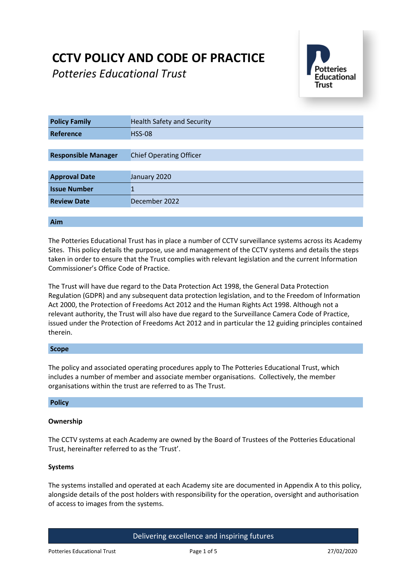# **CCTV POLICY AND CODE OF PRACTICE**

*Potteries Educational Trust*



| <b>Policy Family</b>       | <b>Health Safety and Security</b> |
|----------------------------|-----------------------------------|
| Reference                  | <b>HSS-08</b>                     |
|                            |                                   |
| <b>Responsible Manager</b> | <b>Chief Operating Officer</b>    |
|                            |                                   |
| <b>Approval Date</b>       | January 2020                      |
| <b>Issue Number</b>        |                                   |
| <b>Review Date</b>         | December 2022                     |
|                            |                                   |

# **Aim**

The Potteries Educational Trust has in place a number of CCTV surveillance systems across its Academy Sites. This policy details the purpose, use and management of the CCTV systems and details the steps taken in order to ensure that the Trust complies with relevant legislation and the current Information Commissioner's Office Code of Practice.

The Trust will have due regard to the Data Protection Act 1998, the General Data Protection Regulation (GDPR) and any subsequent data protection legislation, and to the Freedom of Information Act 2000, the Protection of Freedoms Act 2012 and the Human Rights Act 1998. Although not a relevant authority, the Trust will also have due regard to the Surveillance Camera Code of Practice, issued under the Protection of Freedoms Act 2012 and in particular the 12 guiding principles contained therein.

# **Scope**

The policy and associated operating procedures apply to The Potteries Educational Trust, which includes a number of member and associate member organisations. Collectively, the member organisations within the trust are referred to as The Trust.

# **Policy**

# **Ownership**

The CCTV systems at each Academy are owned by the Board of Trustees of the Potteries Educational Trust, hereinafter referred to as the 'Trust'.

# **Systems**

The systems installed and operated at each Academy site are documented in Appendix A to this policy, alongside details of the post holders with responsibility for the operation, oversight and authorisation of access to images from the systems.

Delivering excellence and inspiring futures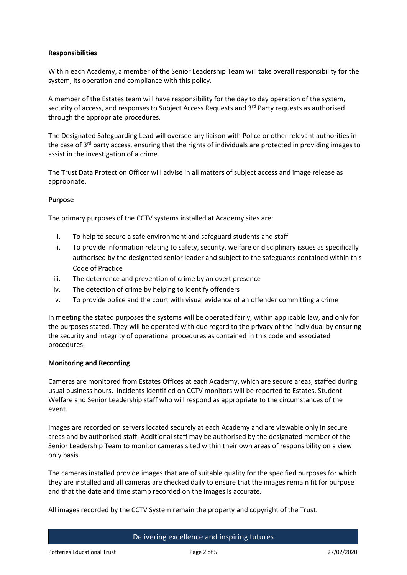# **Responsibilities**

Within each Academy, a member of the Senior Leadership Team will take overall responsibility for the system, its operation and compliance with this policy.

A member of the Estates team will have responsibility for the day to day operation of the system, security of access, and responses to Subject Access Requests and 3<sup>rd</sup> Party requests as authorised through the appropriate procedures.

The Designated Safeguarding Lead will oversee any liaison with Police or other relevant authorities in the case of  $3<sup>rd</sup>$  party access, ensuring that the rights of individuals are protected in providing images to assist in the investigation of a crime.

The Trust Data Protection Officer will advise in all matters of subject access and image release as appropriate.

# **Purpose**

The primary purposes of the CCTV systems installed at Academy sites are:

- i. To help to secure a safe environment and safeguard students and staff
- ii. To provide information relating to safety, security, welfare or disciplinary issues as specifically authorised by the designated senior leader and subject to the safeguards contained within this Code of Practice
- iii. The deterrence and prevention of crime by an overt presence
- iv. The detection of crime by helping to identify offenders
- v. To provide police and the court with visual evidence of an offender committing a crime

In meeting the stated purposes the systems will be operated fairly, within applicable law, and only for the purposes stated. They will be operated with due regard to the privacy of the individual by ensuring the security and integrity of operational procedures as contained in this code and associated procedures.

# **Monitoring and Recording**

Cameras are monitored from Estates Offices at each Academy, which are secure areas, staffed during usual business hours. Incidents identified on CCTV monitors will be reported to Estates, Student Welfare and Senior Leadership staff who will respond as appropriate to the circumstances of the event.

Images are recorded on servers located securely at each Academy and are viewable only in secure areas and by authorised staff. Additional staff may be authorised by the designated member of the Senior Leadership Team to monitor cameras sited within their own areas of responsibility on a view only basis.

The cameras installed provide images that are of suitable quality for the specified purposes for which they are installed and all cameras are checked daily to ensure that the images remain fit for purpose and that the date and time stamp recorded on the images is accurate.

All images recorded by the CCTV System remain the property and copyright of the Trust.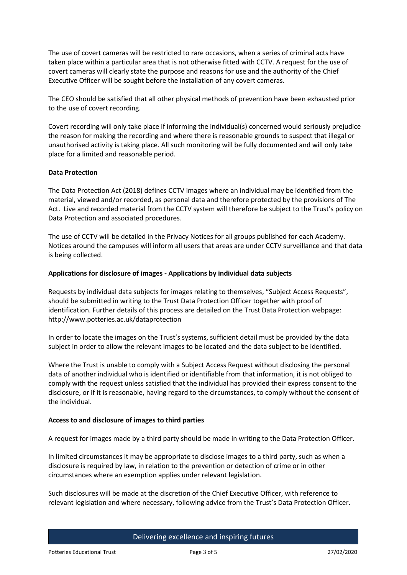The use of covert cameras will be restricted to rare occasions, when a series of criminal acts have taken place within a particular area that is not otherwise fitted with CCTV. A request for the use of covert cameras will clearly state the purpose and reasons for use and the authority of the Chief Executive Officer will be sought before the installation of any covert cameras.

The CEO should be satisfied that all other physical methods of prevention have been exhausted prior to the use of covert recording.

Covert recording will only take place if informing the individual(s) concerned would seriously prejudice the reason for making the recording and where there is reasonable grounds to suspect that illegal or unauthorised activity is taking place. All such monitoring will be fully documented and will only take place for a limited and reasonable period.

# **Data Protection**

The Data Protection Act (2018) defines CCTV images where an individual may be identified from the material, viewed and/or recorded, as personal data and therefore protected by the provisions of The Act. Live and recorded material from the CCTV system will therefore be subject to the Trust's policy on Data Protection and associated procedures.

The use of CCTV will be detailed in the Privacy Notices for all groups published for each Academy. Notices around the campuses will inform all users that areas are under CCTV surveillance and that data is being collected.

#### **Applications for disclosure of images - Applications by individual data subjects**

Requests by individual data subjects for images relating to themselves, "Subject Access Requests", should be submitted in writing to the Trust Data Protection Officer together with proof of identification. Further details of this process are detailed on the Trust Data Protection webpage: http://www.potteries.ac.uk/dataprotection

In order to locate the images on the Trust's systems, sufficient detail must be provided by the data subject in order to allow the relevant images to be located and the data subject to be identified.

Where the Trust is unable to comply with a Subject Access Request without disclosing the personal data of another individual who is identified or identifiable from that information, it is not obliged to comply with the request unless satisfied that the individual has provided their express consent to the disclosure, or if it is reasonable, having regard to the circumstances, to comply without the consent of the individual.

#### **Access to and disclosure of images to third parties**

A request for images made by a third party should be made in writing to the Data Protection Officer.

In limited circumstances it may be appropriate to disclose images to a third party, such as when a disclosure is required by law, in relation to the prevention or detection of crime or in other circumstances where an exemption applies under relevant legislation.

Such disclosures will be made at the discretion of the Chief Executive Officer, with reference to relevant legislation and where necessary, following advice from the Trust's Data Protection Officer.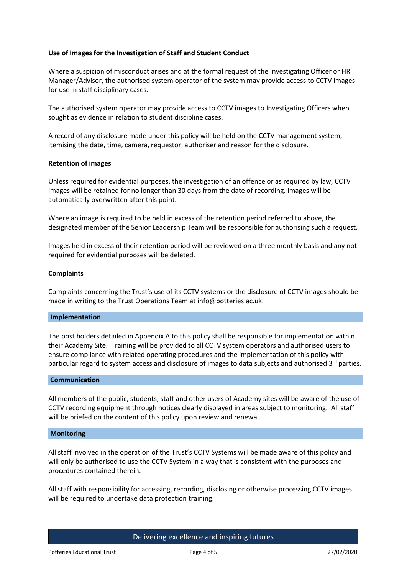# **Use of Images for the Investigation of Staff and Student Conduct**

Where a suspicion of misconduct arises and at the formal request of the Investigating Officer or HR Manager/Advisor, the authorised system operator of the system may provide access to CCTV images for use in staff disciplinary cases.

The authorised system operator may provide access to CCTV images to Investigating Officers when sought as evidence in relation to student discipline cases.

A record of any disclosure made under this policy will be held on the CCTV management system, itemising the date, time, camera, requestor, authoriser and reason for the disclosure.

#### **Retention of images**

Unless required for evidential purposes, the investigation of an offence or as required by law, CCTV images will be retained for no longer than 30 days from the date of recording. Images will be automatically overwritten after this point.

Where an image is required to be held in excess of the retention period referred to above, the designated member of the Senior Leadership Team will be responsible for authorising such a request.

Images held in excess of their retention period will be reviewed on a three monthly basis and any not required for evidential purposes will be deleted.

#### **Complaints**

Complaints concerning the Trust's use of its CCTV systems or the disclosure of CCTV images should be made in writing to the Trust Operations Team at info@potteries.ac.uk.

#### **Implementation**

The post holders detailed in Appendix A to this policy shall be responsible for implementation within their Academy Site. Training will be provided to all CCTV system operators and authorised users to ensure compliance with related operating procedures and the implementation of this policy with particular regard to system access and disclosure of images to data subjects and authorised 3<sup>rd</sup> parties.

#### **Communication**

All members of the public, students, staff and other users of Academy sites will be aware of the use of CCTV recording equipment through notices clearly displayed in areas subject to monitoring. All staff will be briefed on the content of this policy upon review and renewal.

#### **Monitoring**

All staff involved in the operation of the Trust's CCTV Systems will be made aware of this policy and will only be authorised to use the CCTV System in a way that is consistent with the purposes and procedures contained therein.

All staff with responsibility for accessing, recording, disclosing or otherwise processing CCTV images will be required to undertake data protection training.

Delivering excellence and inspiring futures